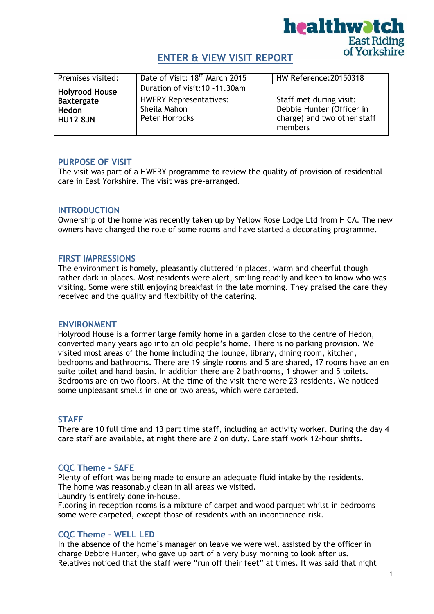

# **ENTER & VIEW VISIT REPORT**

| Premises visited:     | Date of Visit: 18 <sup>th</sup> March 2015 | HW Reference: 20150318      |  |
|-----------------------|--------------------------------------------|-----------------------------|--|
| <b>Holyrood House</b> | Duration of visit: 10 - 11.30am            |                             |  |
| <b>Baxtergate</b>     | <b>HWERY Representatives:</b>              | Staff met during visit:     |  |
| Hedon                 | Sheila Mahon                               | Debbie Hunter (Officer in   |  |
| <b>HU12 8JN</b>       | Peter Horrocks                             | charge) and two other staff |  |
|                       |                                            | members                     |  |

### **PURPOSE OF VISIT**

The visit was part of a HWERY programme to review the quality of provision of residential care in East Yorkshire. The visit was pre-arranged.

### **INTRODUCTION**

Ownership of the home was recently taken up by Yellow Rose Lodge Ltd from HICA. The new owners have changed the role of some rooms and have started a decorating programme.

### **FIRST IMPRESSIONS**

The environment is homely, pleasantly cluttered in places, warm and cheerful though rather dark in places. Most residents were alert, smiling readily and keen to know who was visiting. Some were still enjoying breakfast in the late morning. They praised the care they received and the quality and flexibility of the catering.

#### **ENVIRONMENT**

Holyrood House is a former large family home in a garden close to the centre of Hedon, converted many years ago into an old people's home. There is no parking provision. We visited most areas of the home including the lounge, library, dining room, kitchen, bedrooms and bathrooms. There are 19 single rooms and 5 are shared, 17 rooms have an en suite toilet and hand basin. In addition there are 2 bathrooms, 1 shower and 5 toilets. Bedrooms are on two floors. At the time of the visit there were 23 residents. We noticed some unpleasant smells in one or two areas, which were carpeted.

### **STAFF**

There are 10 full time and 13 part time staff, including an activity worker. During the day 4 care staff are available, at night there are 2 on duty. Care staff work 12-hour shifts.

### **CQC Theme - SAFE**

Plenty of effort was being made to ensure an adequate fluid intake by the residents. The home was reasonably clean in all areas we visited.

Laundry is entirely done in-house. Flooring in reception rooms is a mixture of carpet and wood parquet whilst in bedrooms some were carpeted, except those of residents with an incontinence risk.

### **CQC Theme - WELL LED**

In the absence of the home's manager on leave we were well assisted by the officer in charge Debbie Hunter, who gave up part of a very busy morning to look after us. Relatives noticed that the staff were "run off their feet" at times. It was said that night